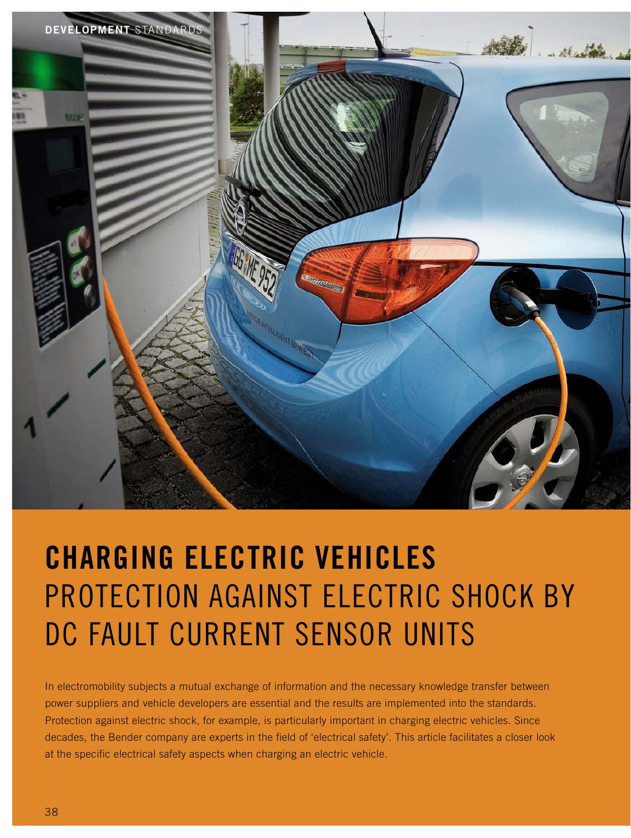

# Charging Electric Vehicles PROTECTION AGAINST ELECTRIC SHOCK BY DC Fault Current Sensor Units

In electromobility subjects a mutual exchange of information and the necessary knowledge transfer between power suppliers and vehicle developers are essential and the results are implemented into the standards. Protection against electric shock, for example, is particularly important in charging electric vehicles. Since decades, the Bender company are experts in the field of 'electrical safety'. This article facilitates a closer look at the specific electrical safety aspects when charging an electric vehicle.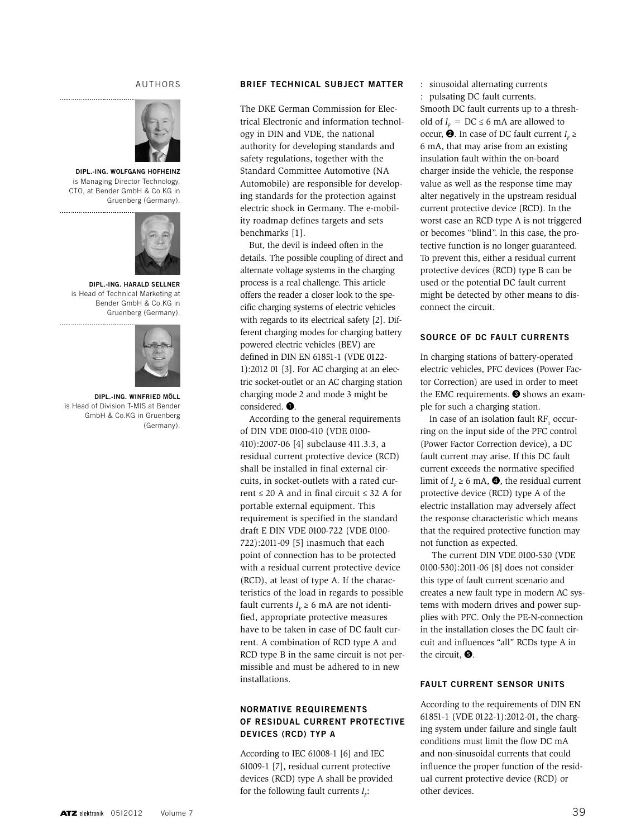#### authors



Dipl.-Ing. Wolfgang Hofheinz is Managing Director Technology, CTO, at Bender GmbH & Co.KG in Gruenberg (Germany).



Dipl.-Ing. Harald Sellner is Head of Technical Marketing at Bender GmbH & Co.KG in Gruenberg (Germany). 



Dipl.-Ing. Winfried Möll is Head of Division T-MIS at Bender GmbH & Co.KG in Gruenberg (Germany).

#### Brief technical subject matter

The DKE German Commission for Electrical Electronic and information technology in DIN and VDE, the national authority for developing standards and safety regulations, together with the Standard Committee Automotive (NA Automobile) are responsible for developing standards for the protection against electric shock in Germany. The e-mobility roadmap defines targets and sets benchmarks [1].

But, the devil is indeed often in the details. The possible coupling of direct and alternate voltage systems in the charging process is a real challenge. This article offers the reader a closer look to the specific charging systems of electric vehicles with regards to its electrical safety [2]. Different charging modes for charging battery powered electric vehicles (BEV) are defined in DIN EN 61851-1 (VDE 0122- 1):2012 01 [3]. For AC charging at an electric socket-outlet or an AC charging station charging mode 2 and mode 3 might be considered. ❶.

According to the general requirements of DIN VDE 0100-410 (VDE 0100- 410):2007-06 [4] subclause 411.3.3, a residual current protective device (RCD) shall be installed in final external circuits, in socket-outlets with a rated current ≤ 20 A and in final circuit ≤ 32 A for portable external equipment. This requirement is specified in the standard draft E DIN VDE 0100-722 (VDE 0100- 722):2011-09 [5] inasmuch that each point of connection has to be protected with a residual current protective device (RCD), at least of type A. If the characteristics of the load in regards to possible fault currents  $I<sub>F</sub> \ge 6$  mA are not identified, appropriate protective measures have to be taken in case of DC fault current. A combination of RCD type A and RCD type B in the same circuit is not permissible and must be adhered to in new installations.

### Normative requirements of residual current protective devices (RCD) typ A

According to IEC 61008-1 [6] and IEC 61009-1 [7], residual current protective devices (RCD) type A shall be provided for the following fault currents  $I<sub>F</sub>$ :

: sinusoidal alternating currents : pulsating DC fault currents. Smooth DC fault currents up to a threshold of  $I_F$  = DC  $\leq$  6 mA are allowed to occur,  $\bullet$ . In case of DC fault current  $I_F \geq$ 6 mA, that may arise from an existing insulation fault within the on-board charger inside the vehicle, the response value as well as the response time may alter negatively in the upstream residual current protective device (RCD). In the worst case an RCD type A is not triggered or becomes "blind". In this case, the protective function is no longer guaranteed. To prevent this, either a residual current protective devices (RCD) type B can be used or the potential DC fault current might be detected by other means to disconnect the circuit.

#### Source of dc fault currents

In charging stations of battery-operated electric vehicles, PFC devices (Power Factor Correction) are used in order to meet the EMC requirements. ❸ shows an example for such a charging station.

In case of an isolation fault  $\mathsf{RF}_{1}$  occurring on the input side of the PFC control (Power Factor Correction device), a DC fault current may arise. If this DC fault current exceeds the normative specified limit of  $I_F \ge 6$  mA,  $\bullet$ , the residual current protective device (RCD) type A of the electric installation may adversely affect the response characteristic which means that the required protective function may not function as expected.

 The current DIN VDE 0100-530 (VDE 0100-530):2011-06 [8] does not consider this type of fault current scenario and creates a new fault type in modern AC systems with modern drives and power supplies with PFC. Only the PE-N-connection in the installation closes the DC fault circuit and influences "all" RCDs type A in the circuit, ❺.

#### Fault current sensor units

According to the requirements of DIN EN 61851-1 (VDE 0122-1):2012-01, the charging system under failure and single fault conditions must limit the flow DC mA and non-sinusoidal currents that could influence the proper function of the residual current protective device (RCD) or other devices.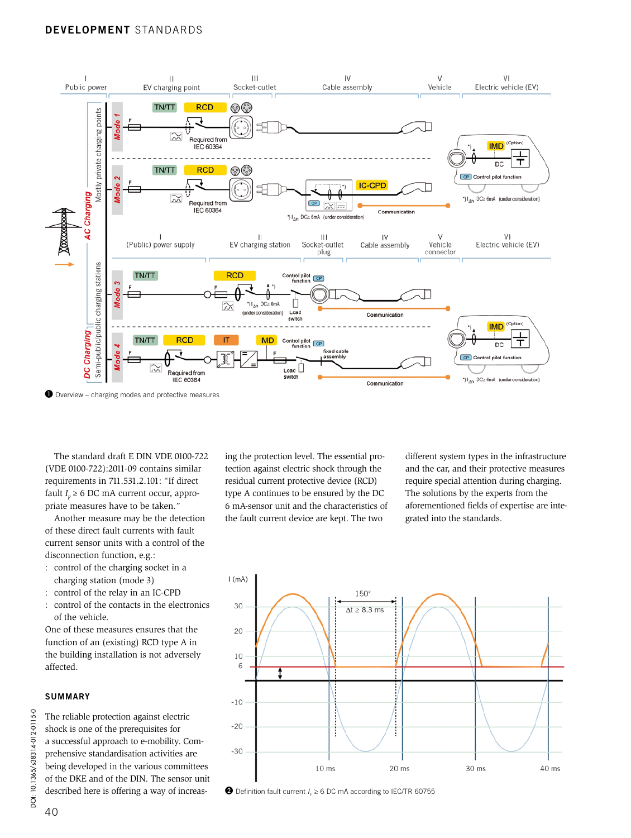## Development Standards



The standard draft E DIN VDE 0100-722 (VDE 0100-722):2011-09 contains similar requirements in 711.531.2.101: "If direct fault  $I<sub>F</sub> \ge 6$  DC mA current occur, appropriate measures have to be taken."

Another measure may be the detection of these direct fault currents with fault current sensor units with a control of the disconnection function, e.g.:

- : control of the charging socket in a charging station (mode 3)
- : control of the relay in an IC-CPD
- : control of the contacts in the electronics of the vehicle.

One of these measures ensures that the function of an (existing) RCD type A in the building installation is not adversely affected.

#### **SUMMARY**

The reliable protection against electric shock is one of the prerequisites for a successful approach to e-mobility. Comprehensive standardisation activities are being developed in the various committees of the DKE and of the DIN. The sensor unit described here is offering a way of increasing the protection level. The essential protection against electric shock through the residual current protective device (RCD) type A continues to be ensured by the DC 6 mA-sensor unit and the characteristics of the fault current device are kept. The two

different system types in the infrastructure and the car, and their protective measures require special attention during charging. The solutions by the experts from the aforementioned fields of expertise are integrated into the standards.



 $\bullet$  Definition fault current  $I_F \geq 6$  DC mA according to IEC/TR 60755